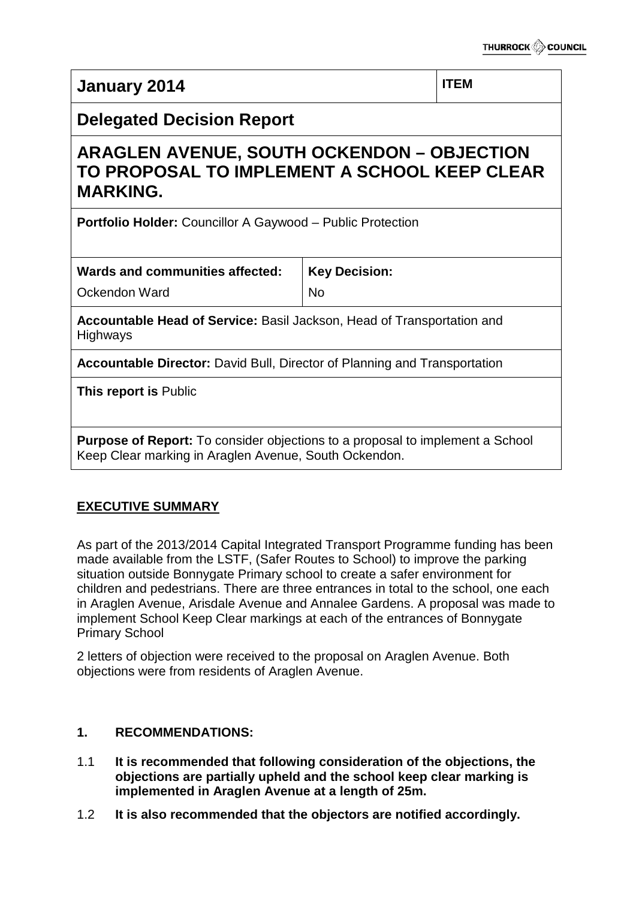# **January 2014 ITEM Delegated Decision Report ARAGLEN AVENUE, SOUTH OCKENDON – OBJECTION TO PROPOSAL TO IMPLEMENT A SCHOOL KEEP CLEAR MARKING. Portfolio Holder:** Councillor A Gaywood – Public Protection **Wards and communities affected:** Ockendon Ward **Key Decision:** No **Accountable Head of Service:** Basil Jackson, Head of Transportation and Highways **Accountable Director:** David Bull, Director of Planning and Transportation **This report is** Public **Purpose of Report:** To consider objections to a proposal to implement a School Keep Clear marking in Araglen Avenue, South Ockendon.

# **EXECUTIVE SUMMARY**

As part of the 2013/2014 Capital Integrated Transport Programme funding has been made available from the LSTF, (Safer Routes to School) to improve the parking situation outside Bonnygate Primary school to create a safer environment for children and pedestrians. There are three entrances in total to the school, one each in Araglen Avenue, Arisdale Avenue and Annalee Gardens. A proposal was made to implement School Keep Clear markings at each of the entrances of Bonnygate Primary School

2 letters of objection were received to the proposal on Araglen Avenue. Both objections were from residents of Araglen Avenue.

# **1. RECOMMENDATIONS:**

- 1.1 **It is recommended that following consideration of the objections, the objections are partially upheld and the school keep clear marking is implemented in Araglen Avenue at a length of 25m.**
- 1.2 **It is also recommended that the objectors are notified accordingly.**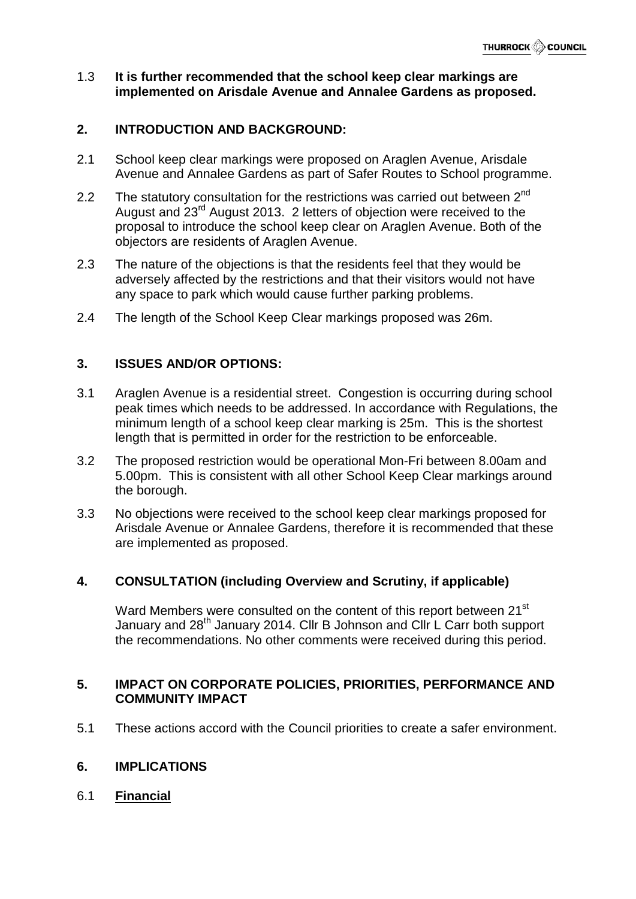#### 1.3 **It is further recommended that the school keep clear markings are implemented on Arisdale Avenue and Annalee Gardens as proposed.**

# **2. INTRODUCTION AND BACKGROUND:**

- 2.1 School keep clear markings were proposed on Araglen Avenue, Arisdale Avenue and Annalee Gardens as part of Safer Routes to School programme.
- 2.2 The statutory consultation for the restrictions was carried out between  $2^{nd}$ August and 23<sup>rd</sup> August 2013. 2 letters of objection were received to the proposal to introduce the school keep clear on Araglen Avenue. Both of the objectors are residents of Araglen Avenue.
- 2.3 The nature of the objections is that the residents feel that they would be adversely affected by the restrictions and that their visitors would not have any space to park which would cause further parking problems.
- 2.4 The length of the School Keep Clear markings proposed was 26m.

# **3. ISSUES AND/OR OPTIONS:**

- 3.1 Araglen Avenue is a residential street. Congestion is occurring during school peak times which needs to be addressed. In accordance with Regulations, the minimum length of a school keep clear marking is 25m. This is the shortest length that is permitted in order for the restriction to be enforceable.
- 3.2 The proposed restriction would be operational Mon-Fri between 8.00am and 5.00pm. This is consistent with all other School Keep Clear markings around the borough.
- 3.3 No objections were received to the school keep clear markings proposed for Arisdale Avenue or Annalee Gardens, therefore it is recommended that these are implemented as proposed.

#### **4. CONSULTATION (including Overview and Scrutiny, if applicable)**

Ward Members were consulted on the content of this report between 21<sup>st</sup> January and 28<sup>th</sup> January 2014. Cllr B Johnson and Cllr L Carr both support the recommendations. No other comments were received during this period.

#### **5. IMPACT ON CORPORATE POLICIES, PRIORITIES, PERFORMANCE AND COMMUNITY IMPACT**

5.1 These actions accord with the Council priorities to create a safer environment.

#### **6. IMPLICATIONS**

6.1 **Financial**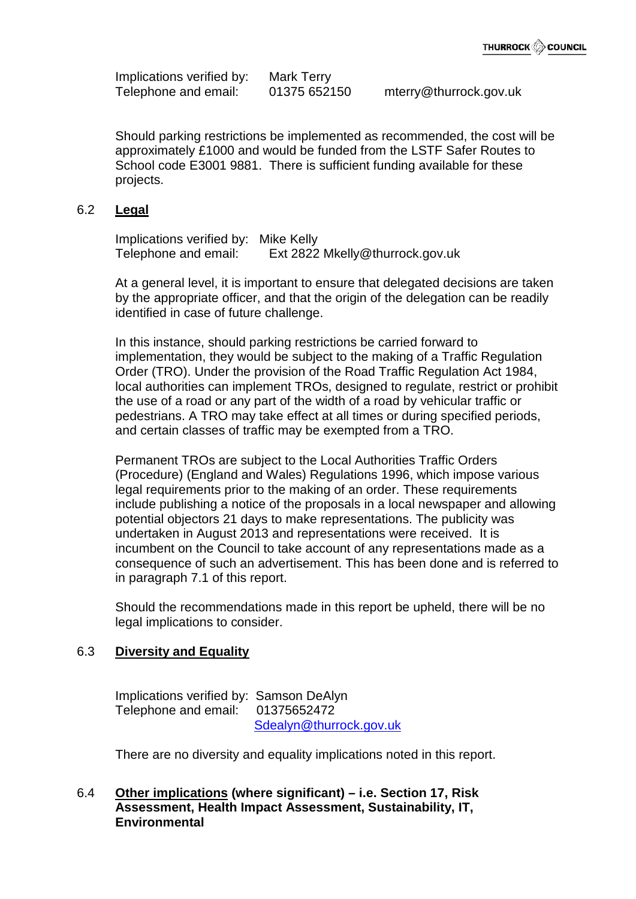Implications verified by: Mark Terry Telephone and email: 01375 652150 mterry@thurrock.gov.uk

Should parking restrictions be implemented as recommended, the cost will be approximately £1000 and would be funded from the LSTF Safer Routes to School code E3001 9881. There is sufficient funding available for these projects.

#### 6.2 **Legal**

Implications verified by: Mike Kelly Telephone and email: Ext 2822 Mkelly@thurrock.gov.uk

At a general level, it is important to ensure that delegated decisions are taken by the appropriate officer, and that the origin of the delegation can be readily identified in case of future challenge.

In this instance, should parking restrictions be carried forward to implementation, they would be subject to the making of a Traffic Regulation Order (TRO). Under the provision of the Road Traffic Regulation Act 1984, local authorities can implement TROs, designed to regulate, restrict or prohibit the use of a road or any part of the width of a road by vehicular traffic or pedestrians. A TRO may take effect at all times or during specified periods, and certain classes of traffic may be exempted from a TRO.

Permanent TROs are subject to the Local Authorities Traffic Orders (Procedure) (England and Wales) Regulations 1996, which impose various legal requirements prior to the making of an order. These requirements include publishing a notice of the proposals in a local newspaper and allowing potential objectors 21 days to make representations. The publicity was undertaken in August 2013 and representations were received. It is incumbent on the Council to take account of any representations made as a consequence of such an advertisement. This has been done and is referred to in paragraph 7.1 of this report.

Should the recommendations made in this report be upheld, there will be no legal implications to consider.

#### 6.3 **Diversity and Equality**

Implications verified by: Samson DeAlyn Telephone and email: 01375652472 [Sdealyn@thurrock.gov.uk](mailto:Sdealyn@thurrock.gov.uk)

There are no diversity and equality implications noted in this report.

# 6.4 **Other implications (where significant) – i.e. Section 17, Risk Assessment, Health Impact Assessment, Sustainability, IT, Environmental**